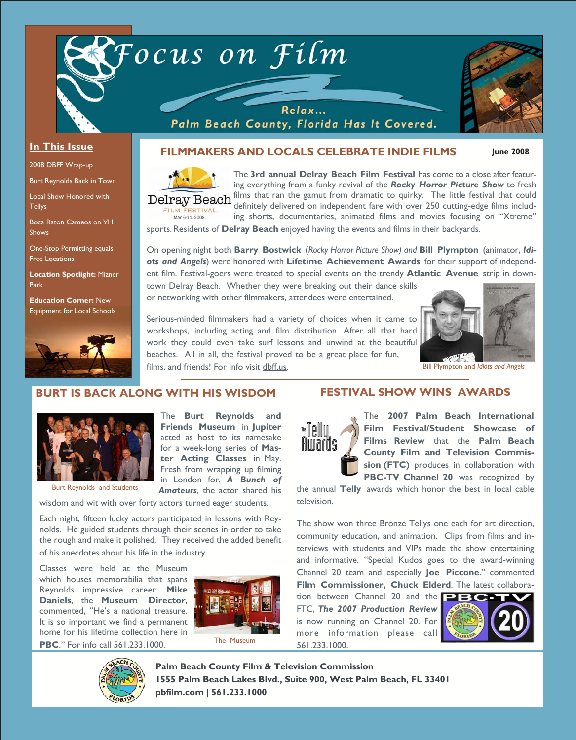

### **In This Issue**

2008 DBFF Wrap-up

Burt Reynolds Back in Town

Local Show Honored with **Tellys** 

Boca Raton Cameos on VH1 Shows

One-Stop Permitting equals Free Locations

**Location Spotlight:** Mizner Park

**Education Corner:** New Equipment for Local Schools



## **FILMMAKERS AND LOCALS CELEBRATE INDIE FILMS**

MAY 6-11, 2008

The **3rd annual Delray Beach Film Festival** has come to a close after featuring everything from a funky revival of the *Rocky Horror Picture Show* to fresh Delray Beach films that ran the gamut from dramatic to quirky. The little festival that could definitely delivered on independent fare with over 250 cutting-edge films including shorts, documentaries, animated films and movies focusing on "Xtreme"

sports. Residents of **Delray Beach** enjoyed having the events and films in their backyards.

On opening night both **Barry Bostwick** (*Rocky Horror Picture Show) and* **Bill Plympton** (animator, *Idiots and Angels*) were honored with **Lifetime Achievement Awards** for their support of independent film. Festival-goers were treated to special events on the trendy **Atlantic Avenue** strip in down-

town Delray Beach. Whether they were breaking out their dance skills or networking with other filmmakers, attendees were entertained.

Serious-minded filmmakers had a variety of choices when it came to workshops, including acting and film distribution. After all that hard work they could even take surf lessons and unwind at the beautiful beaches. All in all, the festival proved to be a great place for fun, films, and friends! For info visit dbff.us.



**June 2008** 

Bill Plympton and *Idiots and Angels* 

## **BURT IS BACK ALONG WITH HIS WISDOM FESTIVAL SHOW WINS AWARDS**



Burt Reynolds and Students

**Friends Museum** in **Jupiter** acted as host to its namesake for a week-long series of **Master Acting Classes** in May. Fresh from wrapping up filming in London for, *A Bunch of Amateurs*, the actor shared his

The **Burt Reynolds and** 

wisdom and wit with over forty actors turned eager students.

Each night, fifteen lucky actors participated in lessons with Reynolds. He guided students through their scenes in order to take the rough and make it polished. They received the added benefit of his anecdotes about his life in the industry.

Classes were held at the Museum which houses memorabilia that spans Reynolds impressive career. **Mike Daniels**, the **Museum Director**, commented, "He's a national treasure. It is so important we find a permanent home for his lifetime collection here in **PBC**." For info call 561.233.1000.





The **2007 Palm Beach International Film Festival/Student Showcase of Films Review** that the **Palm Beach County Film and Television Commission (FTC)** produces in collaboration with PBC-TV Channel 20 was recognized by

the annual **Telly** awards which honor the best in local cable television.

The show won three Bronze Tellys one each for art direction, community education, and animation. Clips from films and interviews with students and VIPs made the show entertaining and informative. "Special Kudos goes to the award-winning Channel 20 team and especially **Joe Piccone**." commented **Film Commissioner, Chuck Elderd**. The latest collabora-

tion between Channel 20 and the **PBG** FTC, *The 2007 Production Review*  is now running on Channel 20. For more information please call 561.233.1000.





**Palm Beach County Film & Television Commission 1555 Palm Beach Lakes Blvd., Suite 900, West Palm Beach, FL 33401 pbfilm.com | 561.233.1000**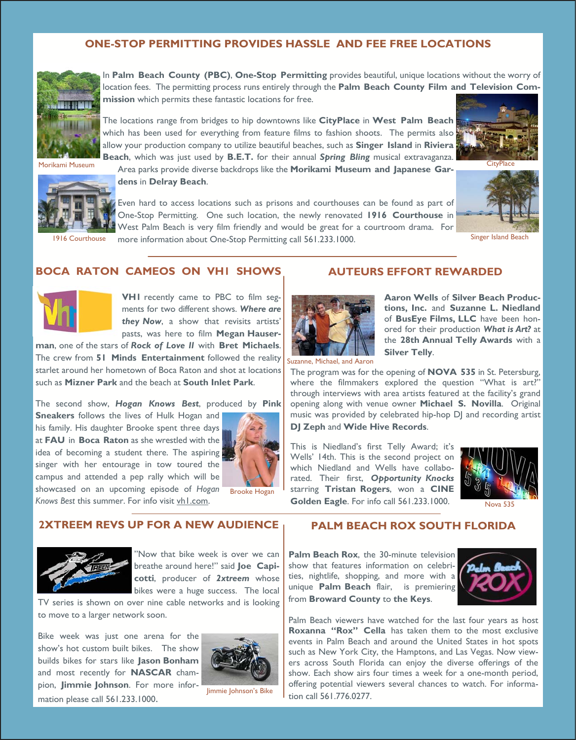## **ONE-STOP PERMITTING PROVIDES HASSLE AND FEE FREE LOCATIONS**



In **Palm Beach County (PBC)**, **One-Stop Permitting** provides beautiful, unique locations without the worry of location fees. The permitting process runs entirely through the **Palm Beach County Film and Television Commission** which permits these fantastic locations for free.

The locations range from bridges to hip downtowns like **CityPlace** in **West Palm Beach** which has been used for everything from feature films to fashion shoots. The permits also allow your production company to utilize beautiful beaches, such as **Singer Island** in **Riviera Beach**, which was just used by **B.E.T.** for their annual *Spring Bling* musical extravaganza.



Area parks provide diverse backdrops like the **Morikami Museum and Japanese Gar-**Morikami Museum CityPlace **dens** in **Delray Beach**.

Even hard to access locations such as prisons and courthouses can be found as part of One-Stop Permitting. One such location, the newly renovated **1916 Courthouse** in West Palm Beach is very film friendly and would be great for a courtroom drama. For 1916 Courthouse more information about One-Stop Permitting call 561.233.1000. Singer Island Beach





### **BOCA RATON CAMEOS ON VH1 SHOWS**



**VH1** recently came to PBC to film segments for two different shows. *Where are*  they Now, a show that revisits artists' pasts, was here to film **Megan Hauser-**

**man**, one of the stars of *Rock of Love II* with **Bret Michaels**. The crew from **51 Minds Entertainment** followed the reality starlet around her hometown of Boca Raton and shot at locations such as **Mizner Park** and the beach at **South Inlet Park**.

The second show, *Hogan Knows Best*, produced by **Pink** 

**Sneakers** follows the lives of Hulk Hogan and his family. His daughter Brooke spent three days at **FAU** in **Boca Raton** as she wrestled with the idea of becoming a student there. The aspiring singer with her entourage in tow toured the campus and attended a pep rally which will be showcased on an upcoming episode of *Hogan* 



Knows Best this summer. For info visit vhl.com.



"Now that bike week is over we can breathe around here!" said **Joe Capicotti**, producer of *2xtreem* whose bikes were a huge success. The local

TV series is shown on over nine cable networks and is looking to move to a larger network soon.

**2XTREEM REVS UP FOR A NEW AUDIENCE** 

Bike week was just one arena for the show's hot custom built bikes. The show builds bikes for stars like **Jason Bonham** and most recently for **NASCAR** champion, **Jimmie Johnson**. For more information please call 561.233.1000.



Jimmie Johnson's Bike

## **AUTEURS EFFORT REWARDED**



**Aaron Wells** of **Silver Beach Productions, Inc.** and **Suzanne L. Niedland** of **BusEye Films, LLC** have been honored for their production *What is Art?* at the **28th Annual Telly Awards** with a **Silver Telly**.

Suzanne, Michael, and Aaron

The program was for the opening of **NOVA 535** in St. Petersburg, where the filmmakers explored the question "What is art?" through interviews with area artists featured at the facility's grand opening along with venue owner **Michael S. Novilla**. Original music was provided by celebrated hip-hop DJ and recording artist

**DJ Zeph** and **Wide Hive Records**.

This is Niedland's first Telly Award; it's Wells' 14th. This is the second project on which Niedland and Wells have collaborated. Their first, *Opportunity Knocks* starring **Tristan Rogers**, won a **CINE Golden Eagle**. For info call 561.233.1000.



Nova 535

## **PALM BEACH ROX SOUTH FLORIDA**

**Palm Beach Rox**, the 30-minute television show that features information on celebrities, nightlife, shopping, and more with a unique **Palm Beach** flair, is premiering from **Broward County** to **the Keys**.



Palm Beach viewers have watched for the last four years as host **Roxanna "Rox" Cella** has taken them to the most exclusive events in Palm Beach and around the United States in hot spots such as New York City, the Hamptons, and Las Vegas. Now viewers across South Florida can enjoy the diverse offerings of the show. Each show airs four times a week for a one-month period, offering potential viewers several chances to watch. For information call 561.776.0277.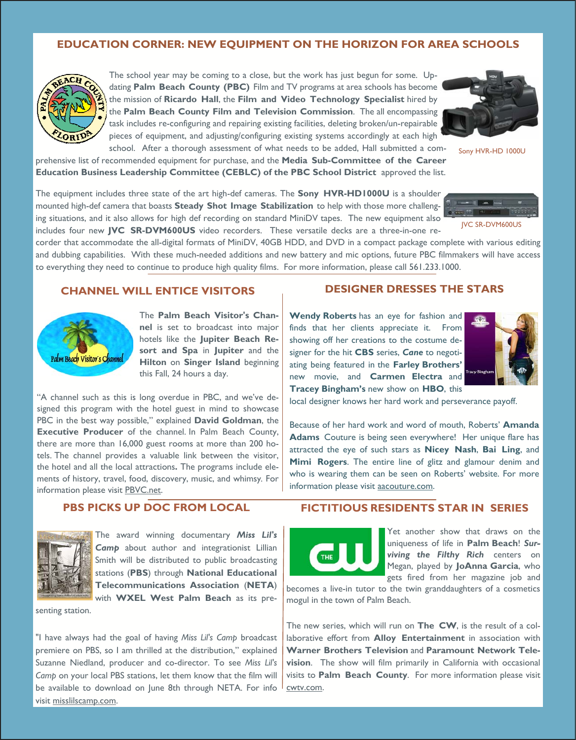## **EDUCATION CORNER: NEW EQUIPMENT ON THE HORIZON FOR AREA SCHOOLS**



The school year may be coming to a close, but the work has just begun for some. Updating **Palm Beach County (PBC)** Film and TV programs at area schools has become the mission of **Ricardo Hall**, the **Film and Video Technology Specialist** hired by the **Palm Beach County Film and Television Commission**. The all encompassing task includes re-configuring and repairing existing facilities, deleting broken/un-repairable pieces of equipment, and adjusting/configuring existing systems accordingly at each high school. After a thorough assessment of what needs to be added, Hall submitted a com-



Sony HVR-HD 1000U

prehensive list of recommended equipment for purchase, and the **Media Sub-Committee of the Career Education Business Leadership Committee (CEBLC) of the PBC School District** approved the list.

The equipment includes three state of the art high-def cameras. The **Sony HVR-HD1000U** is a shoulder mounted high-def camera that boasts **Steady Shot Image Stabilization** to help with those more challenging situations, and it also allows for high def recording on standard MiniDV tapes. The new equipment also includes four new **JVC SR-DVM600US** video recorders. These versatile decks are a three-in-one re-



corder that accommodate the all-digital formats of MiniDV, 40GB HDD, and DVD in a compact package complete with various editing and dubbing capabilities. With these much-needed additions and new battery and mic options, future PBC filmmakers will have access to everything they need to continue to produce high quality films. For more information, please call 561.233.1000.

## **CHANNEL WILL ENTICE VISITORS**



The **Palm Beach Visitor's Channel** is set to broadcast into major hotels like the **Jupiter Beach Resort and Spa** in **Jupiter** and the **Hilton** on **Singer Island** beginning this Fall, 24 hours a day.

"A channel such as this is long overdue in PBC, and we've designed this program with the hotel guest in mind to showcase PBC in the best way possible," explained **David Goldman**, the **Executive Producer** of the channel. In Palm Beach County, there are more than 16,000 guest rooms at more than 200 hotels. The channel provides a valuable link between the visitor, the hotel and all the local attractions**.** The programs include elements of history, travel, food, discovery, music, and whimsy*.* For information please visit PBVC.net.

# **DESIGNER DRESSES THE STARS**

**Wendy Roberts** has an eye for fashion and finds that her clients appreciate it. From showing off her creations to the costume designer for the hit **CBS** series, *Cane* to negotiating being featured in the **Farley Brothers'**  new movie, and **Carmen Electra** and **Tracey Bingham's** new show on **HBO**, this



local designer knows her hard work and perseverance payoff.

Because of her hard work and word of mouth, Roberts' **Amanda Adams** Couture is being seen everywhere! Her unique flare has attracted the eye of such stars as **Nicey Nash**, **Bai Ling**, and **Mimi Rogers**. The entire line of glitz and glamour denim and who is wearing them can be seen on Roberts' website. For more information please visit aacouture.com.

## **PBS PICKS UP DOC FROM LOCAL**



The award winning documentary *Miss Lil's Camp* about author and integrationist Lillian Smith will be distributed to public broadcasting stations (**PBS**) through **National Educational Telecommunications Association** (**NETA**) with **WXEL West Palm Beach** as its pre-

senting station.

"I have always had the goal of having *Miss Lil's Camp* broadcast premiere on PBS, so I am thrilled at the distribution," explained Suzanne Niedland, producer and co-director. To see *Miss Lil's Camp* on your local PBS stations, let them know that the film will be available to download on June 8th through NETA. For info visit misslilscamp.com.

### **FICTITIOUS RESIDENTS STAR IN SERIES**



Yet another show that draws on the uniqueness of life in **Palm Beach**! *Surviving the Filthy Rich* centers on Megan, played by **JoAnna Garcia**, who gets fired from her magazine job and

becomes a live-in tutor to the twin granddaughters of a cosmetics mogul in the town of Palm Beach.

The new series, which will run on **The CW**, is the result of a collaborative effort from **Alloy Entertainment** in association with **Warner Brothers Television** and **Paramount Network Television**. The show will film primarily in California with occasional visits to **Palm Beach County**. For more information please visit cwtv.com.